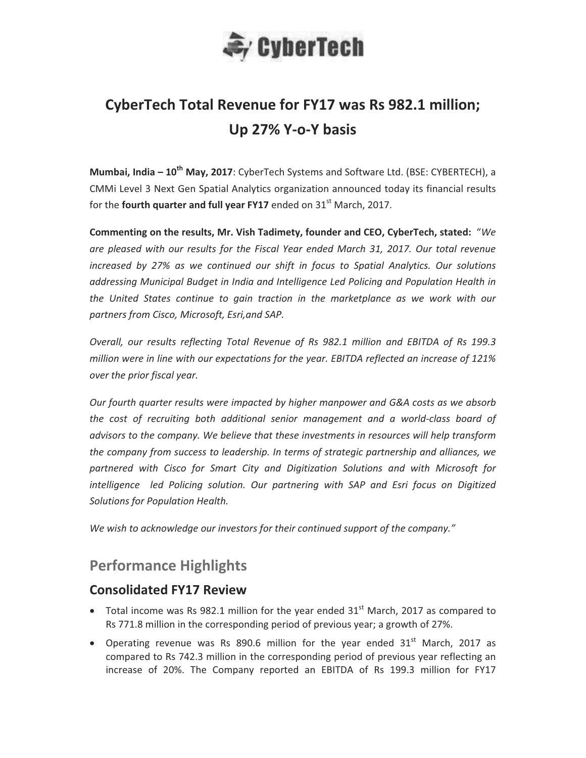

# **CyberTech Total Revenue for FY17 was Rs 982.1 million;** Up 27% Y-o-Y basis

**Mumbai, India – 10<sup>th</sup> May, 2017:** CyberTech Systems and Software Ltd. (BSE: CYBERTECH), a CMMi Level 3 Next Gen Spatial Analytics organization announced today its financial results for the **fourth quarter and full year FY17** ended on 31<sup>st</sup> March, 2017.

**Commenting on the results, Mr. Vish Tadimety, founder and CEO, CyberTech, stated: "We** are pleased with our results for the Fiscal Year ended March 31, 2017. Our total revenue increased by 27% as we continued our shift in focus to Spatial Analytics. Our solutions *addressing-Municipal-Budget-in-India-and-Intelligence-Led-Policing-and-Population-Health-in* the United States continue to gain traction in the marketplance as we work with our *partners-from-Cisco,-Microsoft,-Esri,and-SAP.-*

*Cverall, our results reflecting Total Revenue of Rs 982.1 million and EBITDA of Rs 199.3 million were in line with our expectations for the year. EBITDA reflected an increase of 121% over-the-prior-fiscal-year.-*

*Our-fourth-quarter-results-were-impacted-by-higher-manpower-and-G&A-costs-as-we-absorb* the cost of recruiting both additional senior management and a world-class board of *advisors to the company. We believe that these investments in resources will help transform the company from success to leadership. In terms of strategic partnership and alliances, we* partnered with Cisco for Smart City and Digitization Solutions and with Microsoft for intelligence led Policing solution. Our partnering with SAP and Esri-focus on Digitized *Solutions-for-Population-Health.-*

We wish to acknowledge our investors for their continued support of the company."

# **Performance Highlights**

#### **Consolidated FY17 Review**

- Total income was Rs 982.1 million for the year ended  $31<sup>st</sup>$  March, 2017 as compared to Rs 771.8 million in the corresponding period of previous year; a growth of 27%.
- Operating revenue was Rs 890.6 million for the year ended 31<sup>st</sup> March, 2017 as compared to Rs 742.3 million in the corresponding period of previous year reflecting an increase of 20%. The Company reported an EBITDA of Rs 199.3 million for FY17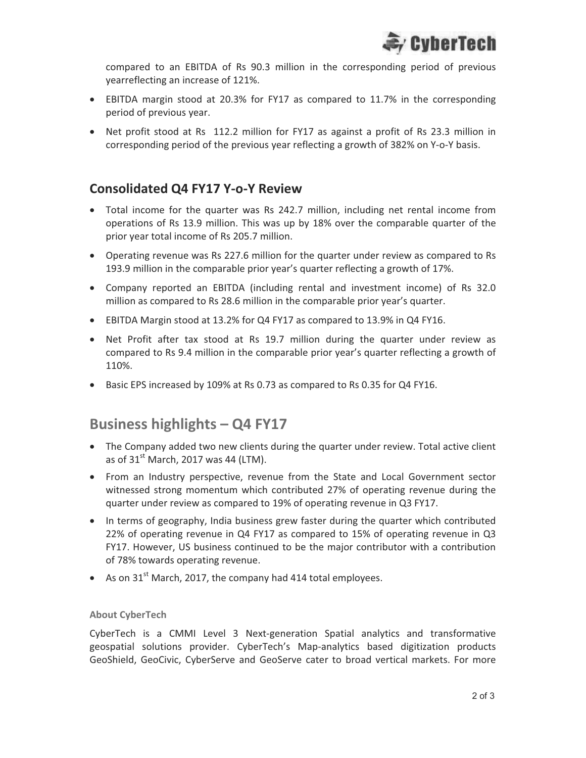

compared to an EBITDA of Rs 90.3 million in the corresponding period of previous yearreflecting an increase of 121%.

- EBITDA margin stood at 20.3% for FY17 as compared to 11.7% in the corresponding period of previous year.
- Net profit stood at Rs 112.2 million for FY17 as against a profit of Rs 23.3 million in corresponding period of the previous year reflecting a growth of 382% on Y-o-Y basis.

### **Consolidated Q4 FY17 Y-o-Y Review**

- Total income for the quarter was Rs 242.7 million, including net rental income from operations of Rs 13.9 million. This was up by 18% over the comparable quarter of the prior year total income of Rs 205.7 million.
- Operating revenue was Rs 227.6 million for the quarter under review as compared to Rs 193.9 million in the comparable prior year's quarter reflecting a growth of 17%.
- Company reported an EBITDA (including rental and investment income) of Rs 32.0 million as compared to Rs 28.6 million in the comparable prior year's quarter.
- EBITDA Margin stood at 13.2% for Q4 FY17 as compared to 13.9% in Q4 FY16.
- Net Profit after tax stood at Rs 19.7 million during the quarter under review as compared to Rs 9.4 million in the comparable prior year's quarter reflecting a growth of 110%.
- $\bullet$ • Basic EPS increased by 109% at Rs 0.73 as compared to Rs 0.35 for Q4 FY16.

## Business highlights - Q4 FY17

- The Company added two new clients during the quarter under review. Total active client as of 31 $^{\rm st}$  March, 2017 was 44 (LTM).
- . From an Industry perspective, revenue from the State and Local Government sector witnessed strong momentum which contributed 27% of operating revenue during the quarter under review as compared to 19% of operating revenue in Q3 FY17.
- In terms of geography, India business grew faster during the quarter which contributed 22% of operating revenue in Q4 FY17 as compared to 15% of operating revenue in Q3 FY17. However, US business continued to be the major contributor with a contribution of 78% towards operating revenue.
- As on  $31<sup>st</sup>$  March, 2017, the company had 414 total employees.

#### About CyberTech

CyberTech is a CMMI Level 3 Next-generation Spatial analytics and transformative geospatial solutions provider. CyberTech's Map-analytics based digitization products GeoShield, GeoCivic, CyberServe and GeoServe cater to broad vertical markets. For more